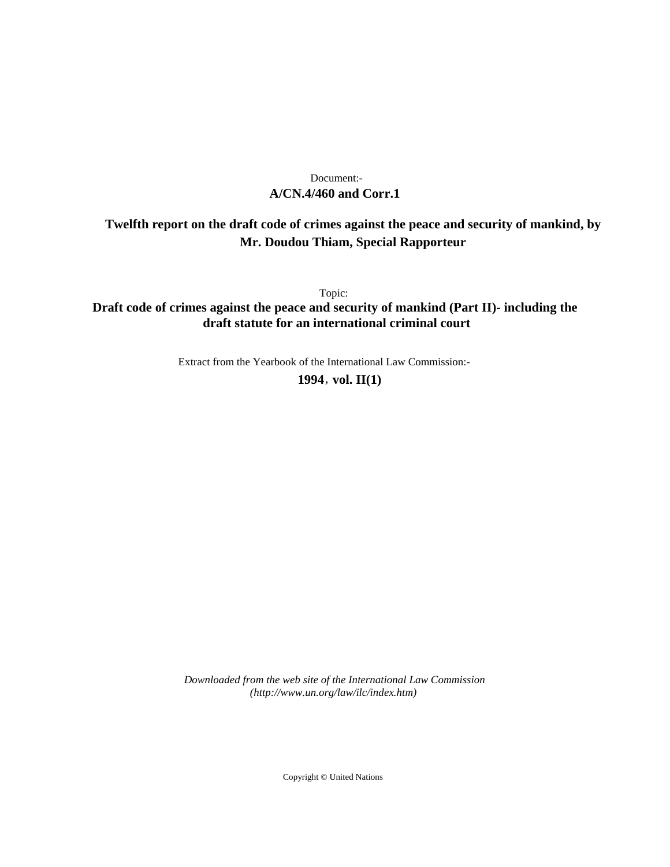# **A/CN.4/460 and Corr.1** Document:-

# **Twelfth report on the draft code of crimes against the peace and security of mankind, by Mr. Doudou Thiam, Special Rapporteur**

Topic:

**Draft code of crimes against the peace and security of mankind (Part II)- including the draft statute for an international criminal court**

Extract from the Yearbook of the International Law Commission:-

**1994** , **vol. II(1)**

*Downloaded from the web site of the International Law Commission (http://www.un.org/law/ilc/index.htm)*

Copyright © United Nations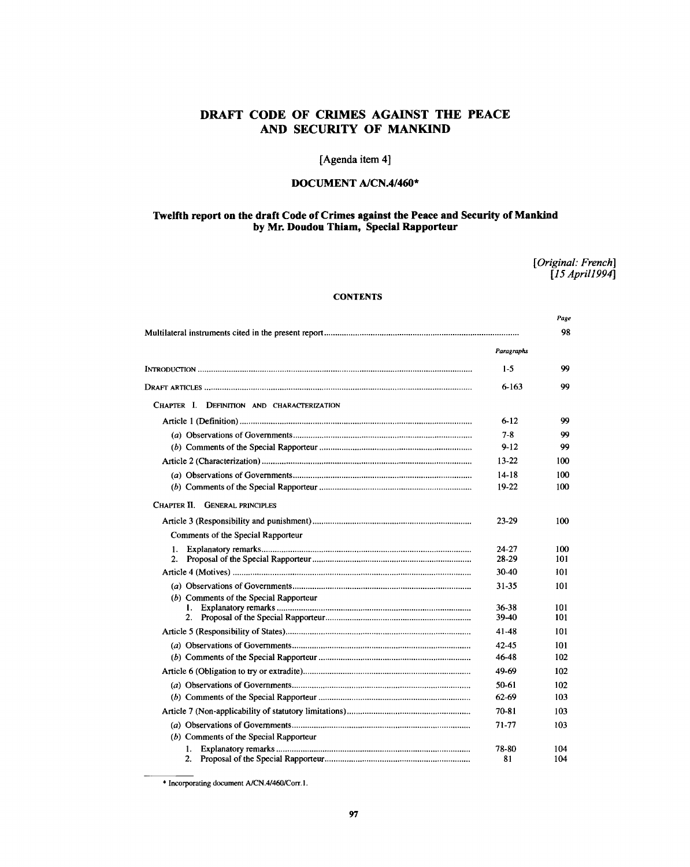# **DRAFT CODE OF CRIMES AGAINST THE PEACE AND SECURITY OF MANKIND**

# [Agenda item 4]

# **DOCUMENT A/CN.4/460\***

# **Twelfth report on the draft Code of Crimes against the Peace and Security of Mankind by Mr. Doudou Thiam, Special Rapporteur**

*[Original: French] [15Aprill994]*

*Page*

# **CONTENTS**

|                                            |                | 98         |
|--------------------------------------------|----------------|------------|
|                                            | Paragraphs     |            |
|                                            | 1.5            | 99         |
|                                            | $6 - 163$      | 99         |
| CHAPTER I. DEFINITION AND CHARACTERIZATION |                |            |
|                                            | $6 - 12$       | 99         |
|                                            | $7 - 8$        | 99         |
|                                            | $9 - 12$       | 99         |
|                                            | 13-22          | 100        |
|                                            | 14-18          | 100        |
|                                            | 19-22          | 100        |
| CHAPTER II. GENERAL PRINCIPLES             |                |            |
|                                            | 23-29          | 100        |
| Comments of the Special Rapporteur         |                |            |
| 1.                                         | 24-27          | 100        |
|                                            | 28-29          | 101        |
|                                            | 30-40          | 101        |
|                                            | 31-35          | 101        |
| (b) Comments of the Special Rapporteur     |                |            |
| I.<br>2.                                   | 36-38<br>39-40 | 101<br>101 |
|                                            |                |            |
|                                            | 41-48          | 101        |
|                                            | 42-45          | 101        |
|                                            | 46-48          | 102        |
|                                            | 49-69          | 102        |
|                                            | 50-61          | 102        |
|                                            | 62.69          | 103        |
|                                            | 70-81          | 103        |
|                                            | 71-77          | 103        |
| (b) Comments of the Special Rapporteur     |                |            |
| 1.                                         | 78-80          | 104        |
| 2.                                         | 81             | 104        |

<sup>\*</sup> Incorporating document A/CN.4/460/Corr. 1.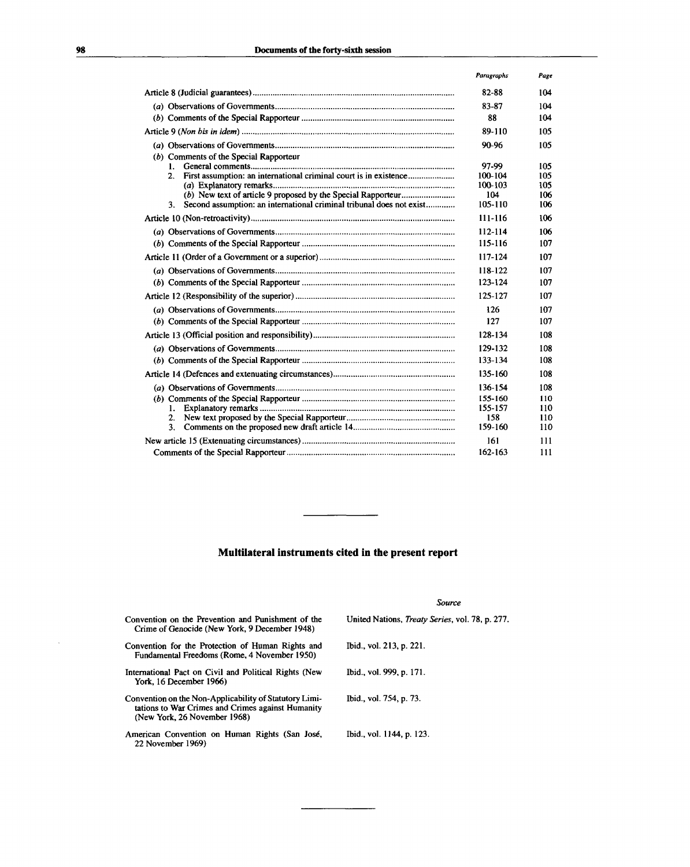|                                                                            | Paragraphs         | Page       |
|----------------------------------------------------------------------------|--------------------|------------|
|                                                                            | 82-88              | 104        |
|                                                                            | 83-87              | 104        |
|                                                                            | 88                 | 104        |
|                                                                            | 89-110             | 105        |
|                                                                            | 90-96              | 105        |
| (b) Comments of the Special Rapporteur                                     |                    |            |
| 1.                                                                         | 97-99              | 105        |
| 2.                                                                         | 100-104<br>100-103 | 105<br>105 |
|                                                                            | 104                | 106        |
| Second assumption: an international criminal tribunal does not exist<br>3. | 105-110            | 106        |
|                                                                            | 111-116            | 106        |
|                                                                            | 112-114            | 106        |
|                                                                            | 115-116            | 107        |
|                                                                            | 117-124            | 107        |
|                                                                            | 118-122            | 107        |
|                                                                            | 123-124            | 107        |
|                                                                            | 125-127            | 107        |
|                                                                            | 126                | 107        |
|                                                                            | 127                | 107        |
|                                                                            | 128-134            | 108        |
|                                                                            | 129-132            | 108        |
|                                                                            | 133-134            | 108        |
|                                                                            | 135-160            | 108        |
|                                                                            | 136-154            | 108        |
|                                                                            | 155-160            | 110        |
| 1.                                                                         | 155-157            | 110        |
| 2.                                                                         | 158<br>159-160     | 110        |
| 3.                                                                         |                    | 110        |
|                                                                            | 161                | 111        |
|                                                                            | 162-163            | 111        |

# **Multilateral instruments cited in the present report**

|                                                                                                                                             | Source                                                  |
|---------------------------------------------------------------------------------------------------------------------------------------------|---------------------------------------------------------|
| Convention on the Prevention and Punishment of the<br>Crime of Genocide (New York, 9 December 1948)                                         | United Nations, <i>Treaty Series</i> , vol. 78, p. 277. |
| Convention for the Protection of Human Rights and<br>Fundamental Freedoms (Rome, 4 November 1950)                                           | Ibid., vol. 213, p. 221.                                |
| International Pact on Civil and Political Rights (New<br>York. 16 December 1966)                                                            | Ibid., vol. 999, p. 171.                                |
| Convention on the Non-Applicability of Statutory Limi-<br>tations to War Crimes and Crimes against Humanity<br>(New York, 26 November 1968) | Ibid., vol. 754, p. 73.                                 |
| American Convention on Human Rights (San José,<br>22 November 1969)                                                                         | Ibid., vol. 1144, p. 123.                               |

 $\hat{\boldsymbol{\beta}}$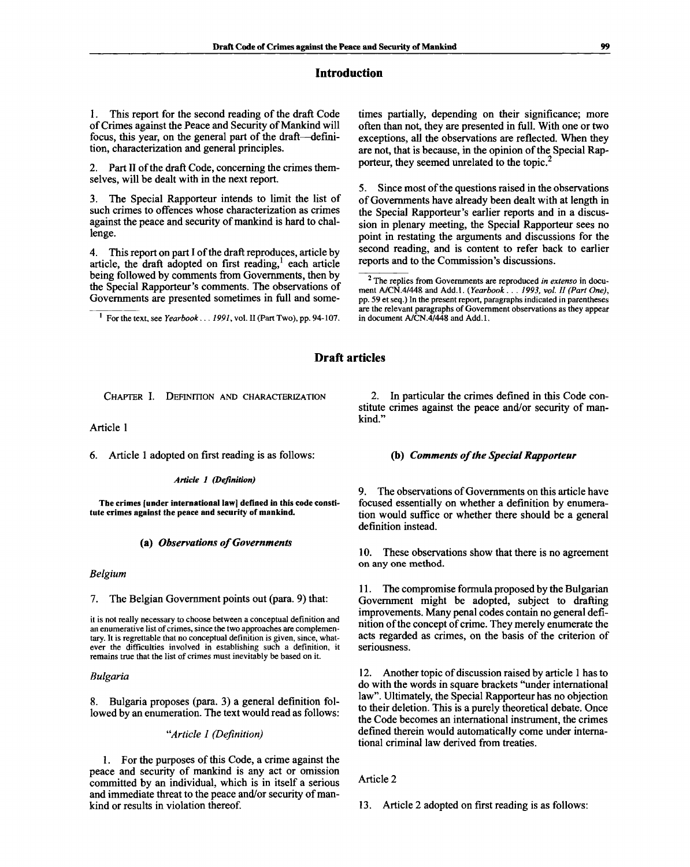# **Introduction**

1. This report for the second reading of the draft Code of Crimes against the Peace and Security of Mankind will focus, this year, on the general part of the draft—definition, characterization and general principles.

2. Part II of the draft Code, concerning the crimes themselves, will be dealt with in the next report.

3. The Special Rapporteur intends to limit the list of such crimes to offences whose characterization as crimes against the peace and security of mankind is hard to challenge.

4. This report on part I of the draft reproduces, article by article, the draft adopted on first reading,<sup>1</sup> each article being followed by comments from Governments, then by the Special Rapporteur's comments. The observations of Governments are presented sometimes in full and some-

For the text, see *Yearbook*... *1991,* vol. II (Part Two), pp. 94-107.

times partially, depending on their significance; more often than not, they are presented in full. With one or two exceptions, all the observations are reflected. When they are not, that is because, in the opinion of the Special Rapporteur, they seemed unrelated to the topic.<sup>2</sup>

5. Since most of the questions raised in the observations of Governments have already been dealt with at length in the Special Rapporteur's earlier reports and in a discussion in plenary meeting, the Special Rapporteur sees no point in restating the arguments and discussions for the second reading, and is content to refer back to earlier reports and to the Commission's discussions.

# **Draft articles**

CHAPTER I. DEFINITION AND CHARACTERIZATION

Article 1

6. Article 1 adopted on first reading is as follows:

*Article 1 (Definition)*

**The crimes [under international law] defined in this code constitute crimes against the peace and security of mankind.**

# **(a)** *Observations of Governments*

# *Belgium*

7. The Belgian Government points out (para. 9) that:

it is not really necessary to choose between a conceptual definition and an enumerative list of crimes, since the two approaches are complementary. It is regrettable that no conceptual definition is given, since, whatever the difficulties involved in establishing such a definition, it remains true that the list of crimes must inevitably be based on it.

# *Bulgaria*

8. Bulgaria proposes (para. 3) a general definition followed by an enumeration. The text would read as follows:

# *"Article 1 (Definition)*

1. For the purposes of this Code, a crime against the peace and security of mankind is any act or omission committed by an individual, which is in itself a serious and immediate threat to the peace and/or security of mankind or results in violation thereof.

2. In particular the crimes defined in this Code constitute crimes against the peace and/or security of mankind."

# **(b)** *Comments of the Special Rapporteur*

9. The observations of Governments on this article have focused essentially on whether a definition by enumeration would suffice or whether there should be a general definition instead.

10. These observations show that there is no agreement on any one method.

11. The compromise formula proposed by the Bulgarian Government might be adopted, subject to drafting improvements. Many penal codes contain no general definition of the concept of crime. They merely enumerate the acts regarded as crimes, on the basis of the criterion of seriousness.

12. Another topic of discussion raised by article 1 has to do with the words in square brackets "under international law". Ultimately, the Special Rapporteur has no objection to their deletion. This is a purely theoretical debate. Once the Code becomes an international instrument, the crimes defined therein would automatically come under international criminal law derived from treaties.

# Article 2

13. Article 2 adopted on first reading is as follows:

<sup>2</sup> The replies from Governments are reproduced *in extenso* in document A/CN.4/448 and Add.l. *{Yearbook . . . 1993, vol. II (Part One),* pp. 59 et seq.) In the present report, paragraphs indicated in parentheses are the relevant paragraphs of Government observations as they appear in document A/CN.4/448 and Add.1.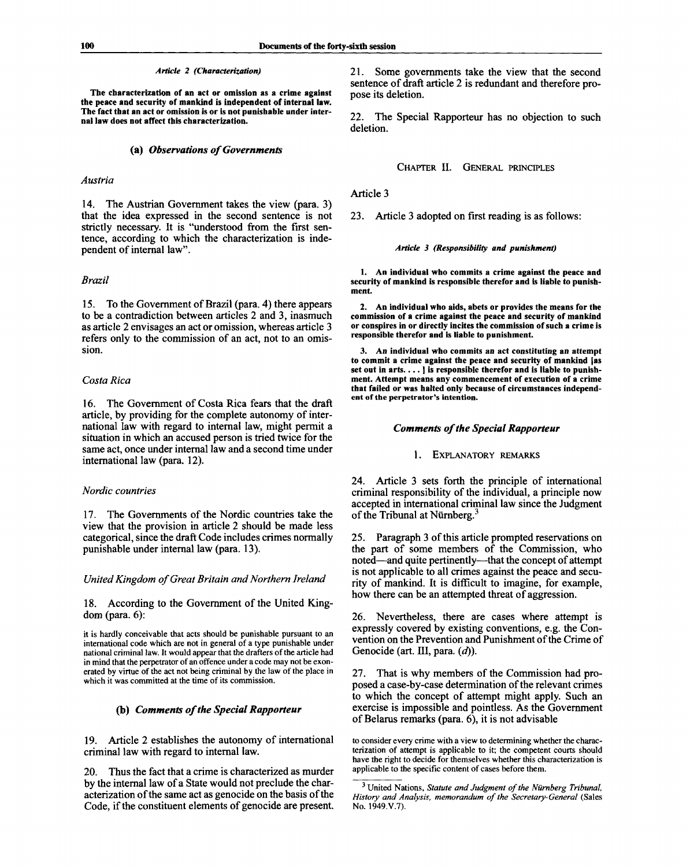#### *Article 2 (Characterization)*

**The characterization of an act or omission as a crime against the peace and security of mankind is independent of internal law. The fact that an act or omission is or is not punishable under internal law does not affect this characterization.**

#### **(a)** *Observations of Governments*

# *Austria*

14. The Austrian Government takes the view (para. 3) that the idea expressed in the second sentence is not strictly necessary. It is "understood from the first sentence, according to which the characterization is independent of internal law".

#### *Brazil*

15. To the Government of Brazil (para. 4) there appears to be a contradiction between articles 2 and 3, inasmuch as article 2 envisages an act or omission, whereas article 3 refers only to the commission of an act, not to an omission.

# *Costa Rica*

16. The Government of Costa Rica fears that the draft article, by providing for the complete autonomy of international law with regard to internal law, might permit a situation in which an accused person is tried twice for the same act, once under internal law and a second time under international law (para. 12).

# *Nordic countries*

17. The Governments of the Nordic countries take the view that the provision in article 2 should be made less categorical, since the draft Code includes crimes normally punishable under internal law (para. 13).

#### *United Kingdom of Great Britain and Northern Ireland*

18. According to the Government of the United Kingdom (para. 6):

it is hardly conceivable that acts should be punishable pursuant to an international code which are not in general of a type punishable under national criminal law. It would appear that the drafters of the article had in mind that the perpetrator of an offence under a code may not be exonerated by virtue of the act not being criminal by the law of the place in which it was committed at the time of its commission.

# **(b)** *Comments of the Special Rapporteur*

19. Article 2 establishes the autonomy of international criminal law with regard to internal law.

20. Thus the fact that a crime is characterized as murder by the internal law of a State would not preclude the characterization of the same act as genocide on the basis of the Code, if the constituent elements of genocide are present. 21. Some governments take the view that the second sentence of draft article 2 is redundant and therefore propose its deletion.

22. The Special Rapporteur has no objection to such deletion.

CHAPTER II. GENERAL PRINCIPLES

Article 3

23. Article 3 adopted on first reading is as follows:

#### *Article 3 (Responsibility and punishment)*

**1. An individual who commits a crime against the peace and security of mankind is responsible therefor and is liable to punishment.**

**2. An individual who aids, abets or provides the means for the commission of a crime against the peace and security of mankind or conspires in or directly incites the commission of such a crime is responsible therefor and is liable to punishment.**

**3. An individual who commits an act constituting an attempt to commit a crime against the peace and security of mankind [as set out in arts.... ] is responsible therefor and is liable to punishment. Attempt means any commencement of execution of a crime that failed or was halted only because of circumstances independent of the perpetrator's intention.**

### *Comments of the Special Rapporteur*

#### 1. EXPLANATORY REMARKS

24. Article 3 sets forth the principle of international criminal responsibility of the individual, a principle now accepted in international criminal law since the Judgment of the Tribunal at Nürnberg.<sup>3</sup>

25. Paragraph 3 of this article prompted reservations on the part of some members of the Commission, who noted—and quite pertinently—that the concept of attempt is not applicable to all crimes against the peace and security of mankind. It is difficult to imagine, for example, how there can be an attempted threat of aggression.

26. Nevertheless, there are cases where attempt is expressly covered by existing conventions, e.g. the Convention on the Prevention and Punishment of the Crime of Genocide (art. Ill, para. *(d)).*

27. That is why members of the Commission had proposed a case-by-case determination of the relevant crimes to which the concept of attempt might apply. Such an exercise is impossible and pointless. As the Government of Belarus remarks (para. 6), it is not advisable

to consider every crime with a view to determining whether the characterization of attempt is applicable to it; the competent courts should have the right to decide for themselves whether this characterization is applicable to the specific content of cases before them.

United Nations, *Statute and Judgment of the Niirnberg Tribunal, History and Analysis, memorandum of the Secretary-General* (Sales No. 1949.V.7).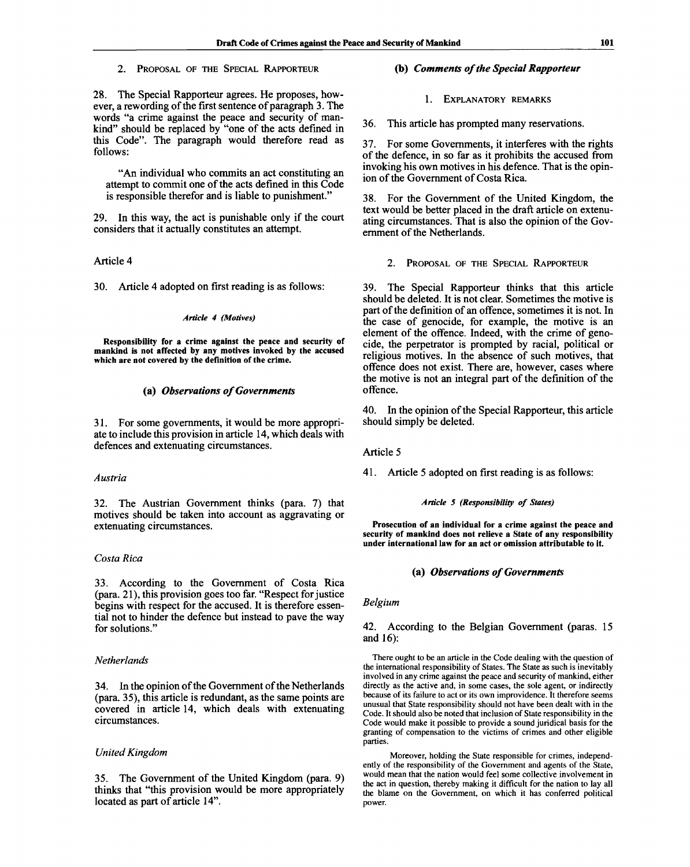2. PROPOSAL OF THE SPECIAL RAPPORTEUR

28. The Special Rapporteur agrees. He proposes, however, a rewording of the first sentence of paragraph 3. The words "a crime against the peace and security of mankind" should be replaced by "one of the acts defined in this Code". The paragraph would therefore read as follows:

"An individual who commits an act constituting an attempt to commit one of the acts defined in this Code is responsible therefor and is liable to punishment."

29. In this way, the act is punishable only if the court considers that it actually constitutes an attempt.

# Article 4

30. Article 4 adopted on first reading is as follows:

#### *Article 4 (Motives)*

**Responsibility for a crime against the peace and security of mankind is not affected by any motives invoked by the accused which are not covered by the definition of the crime.**

# **(a)** *Observations of Governments*

31. For some governments, it would be more appropriate to include this provision in article 14, which deals with defences and extenuating circumstances.

#### *Austria*

32. The Austrian Government thinks (para. 7) that motives should be taken into account as aggravating or extenuating circumstances.

# *Costa Rica*

33. According to the Government of Costa Rica (para. 21), this provision goes too far. "Respect for justice begins with respect for the accused. It is therefore essential not to hinder the defence but instead to pave the way for solutions."

# *Netherlands*

34. In the opinion of the Government of the Netherlands (para. 35), this article is redundant, as the same points are covered in article 14, which deals with extenuating circumstances.

# *United Kingdom*

35. The Government of the United Kingdom (para. 9) thinks that "this provision would be more appropriately located as part of article 14".

# **(b)** *Comments of the Special Rapporteur*

1. EXPLANATORY REMARKS

36. This article has prompted many reservations.

37. For some Governments, it interferes with the rights of the defence, in so far as it prohibits the accused from invoking his own motives in his defence. That is the opinion of the Government of Costa Rica.

38. For the Government of the United Kingdom, the text would be better placed in the draft article on extenuating circumstances. That is also the opinion of the Government of the Netherlands.

2. PROPOSAL OF THE SPECIAL RAPPORTEUR

39. The Special Rapporteur thinks that this article should be deleted. It is not clear. Sometimes the motive is part of the definition of an offence, sometimes it is not. In the case of genocide, for example, the motive is an element of the offence. Indeed, with the crime of genocide, the perpetrator is prompted by racial, political or religious motives. In the absence of such motives, that offence does not exist. There are, however, cases where the motive is not an integral part of the definition of the offence.

40. In the opinion of the Special Rapporteur, this article should simply be deleted.

Article 5

41. Article 5 adopted on first reading is as follows:

## *Article 5 (Responsibility of States)*

**Prosecution of an individual for a crime against the peace and security of mankind does not relieve a State of any responsibility under international law for an act or omission attributable to it.**

### (a) *Observations of Governments*

*Belgium*

# 42. According to the Belgian Government (paras. 15 and 16):

There ought to be an article in the Code dealing with the question of the international responsibility of States. The State as such is inevitably involved in any crime against the peace and security of mankind, either directly as the active and, in some cases, the sole agent, or indirectly because of its failure to act or its own improvidence. It therefore seems unusual that State responsibility should not have been dealt with in the Code. It should also be noted that inclusion of State responsibility in the Code would make it possible to provide a sound juridical basis for the granting of compensation to the victims of crimes and other eligible parties.

Moreover, holding the State responsible for crimes, independently of the responsibility of the Government and agents of the State, would mean that the nation would feel some collective involvement in the act in question, thereby making it difficult for the nation to lay all the blame on the Government, on which it has conferred political power.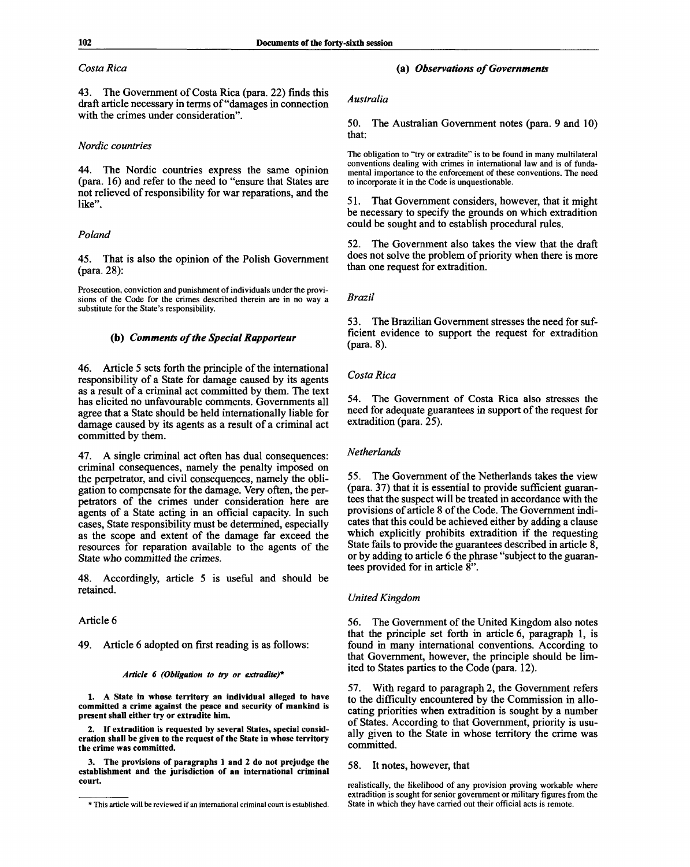# *Costa Rica*

43. The Government of Costa Rica (para. 22) finds this draft article necessary in terms of "damages in connection with the crimes under consideration".

# *Nordic countries*

44. The Nordic countries express the same opinion (para. 16) and refer to the need to "ensure that States are not relieved of responsibility for war reparations, and the like".

# *Poland*

45. That is also the opinion of the Polish Government (para. 28):

Prosecution, conviction and punishment of individuals under the provisions of the Code for the crimes described therein are in no way a substitute for the State's responsibility.

# **(b)** *Comments of the Special Rapporteur*

46. Article 5 sets forth the principle of the international responsibility of a State for damage caused by its agents as a result of a criminal act committed by them. The text has elicited no unfavourable comments. Governments all agree that a State should be held internationally liable for damage caused by its agents as a result of a criminal act committed by them.

47. A single criminal act often has dual consequences: criminal consequences, namely the penalty imposed on the perpetrator, and civil consequences, namely the obligation to compensate for the damage. Very often, the perpetrators of the crimes under consideration here are agents of a State acting in an official capacity. In such cases, State responsibility must be determined, especially as the scope and extent of the damage far exceed the resources for reparation available to the agents of the State who committed the crimes.

48. Accordingly, article 5 is useful and should be retained.

# Article 6

# 49. Article 6 adopted on first reading is as follows:

#### *Article 6 (Obligation to try or extradite)\**

**1. A State in whose territory an individual alleged to have committed a crime against the peace and security of mankind is present shall either try or extradite him.**

**2. If extradition is requested by several States, special consideration shall be given to the request of the State in whose territory the crime was committed.**

**3. The provisions of paragraphs 1 and 2 do not prejudge the establishment and the jurisdiction of an international criminal court.**

## **(a)** *Observations of Governments*

# *Australia*

50. The Australian Government notes (para. 9 and 10) that:

The obligation to "try or extradite" is to be found in many multilateral conventions dealing with crimes in international law and is of fundamental importance to the enforcement of these conventions. The need to incorporate it in the Code is unquestionable.

51. That Government considers, however, that it might be necessary to specify the grounds on which extradition could be sought and to establish procedural rules.

52. The Government also takes the view that the draft does not solve the problem of priority when there is more than one request for extradition.

# *Brazil*

53. The Brazilian Government stresses the need for sufficient evidence to support the request for extradition (para. 8).

# *Costa Rica*

54. The Government of Costa Rica also stresses the need for adequate guarantees in support of the request for extradition (para. 25).

#### *Netherlands*

55. The Government of the Netherlands takes the view (para. 37) that it is essential to provide sufficient guarantees that the suspect will be treated in accordance with the provisions of article 8 of the Code. The Government indicates that this could be achieved either by adding a clause which explicitly prohibits extradition if the requesting State fails to provide the guarantees described in article 8, or by adding to article 6 the phrase "subject to the guarantees provided for in article 8".

# *United Kingdom*

56. The Government of the United Kingdom also notes that the principle set forth in article 6, paragraph 1, is found in many international conventions. According to that Government, however, the principle should be limited to States parties to the Code (para. 12).

57. With regard to paragraph 2, the Government refers to the difficulty encountered by the Commission in allocating priorities when extradition is sought by a number of States. According to that Government, priority is usually given to the State in whose territory the crime was committed.

# 58. It notes, however, that

realistically, the likelihood of any provision proving workable where extradition is sought for senior government or military figures from the State in which they have carried out their official acts is remote.

*<sup>\*</sup>* This article will be reviewed if an international criminal court is established.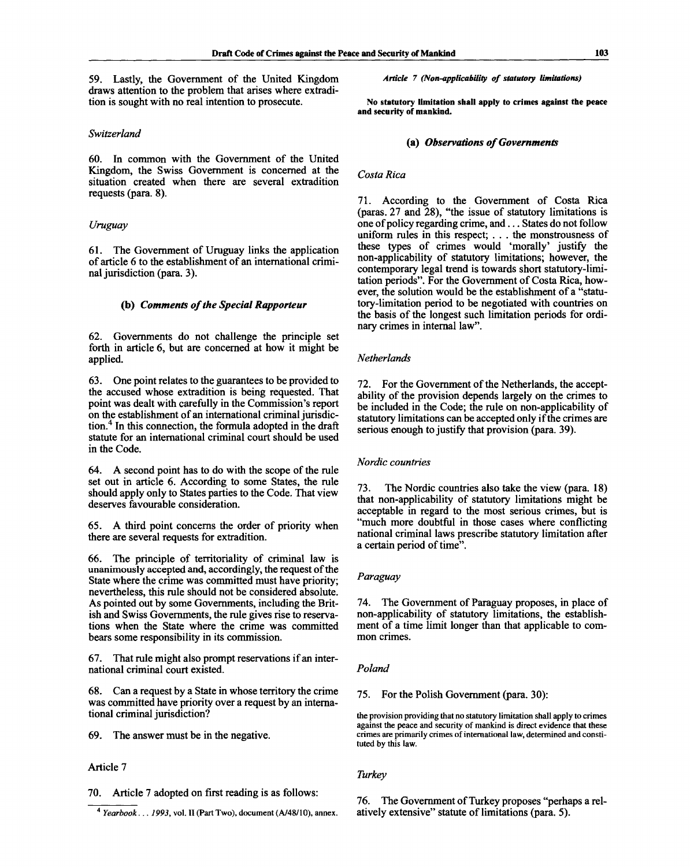59. Lastly, the Government of the United Kingdom draws attention to the problem that arises where extradition is sought with no real intention to prosecute.

# *Switzerland*

60. In common with the Government of the United Kingdom, the Swiss Government is concerned at the situation created when there are several extradition requests (para. 8).

# *Uruguay*

61. The Government of Uruguay links the application of article 6 to the establishment of an international criminal jurisdiction (para. 3).

# **(b)** *Comments of the Special Rapporteur*

62. Governments do not challenge the principle set forth in article 6, but are concerned at how it might be applied.

63. One point relates to the guarantees to be provided to the accused whose extradition is being requested. That point was dealt with carefully in the Commission's report on the establishment of an international criminal jurisdiction.<sup>4</sup> In this connection, the formula adopted in the draft statute for an international criminal court should be used in the Code.

64. A second point has to do with the scope of the rule set out in article 6. According to some States, the rule should apply only to States parties to the Code. That view deserves favourable consideration.

65. A third point concerns the order of priority when there are several requests for extradition.

66. The principle of territoriality of criminal law is unanimously accepted and, accordingly, the request of the State where the crime was committed must have priority; nevertheless, this rule should not be considered absolute. As pointed out by some Governments, including the British and Swiss Governments, the rule gives rise to reservations when the State where the crime was committed bears some responsibility in its commission.

67. That rule might also prompt reservations if an international criminal court existed.

68. Can a request by a State in whose territory the crime was committed have priority over a request by an international criminal jurisdiction?

69. The answer must be in the negative.

# Article 7

70. Article 7 adopted on first reading is as follows:

*Article 7 (Non-applicability of statutory limitations)*

**No statutory limitation shall apply to crimes against the peace and security of mankind.**

# **(a)** *Observations of Governments*

# *Costa Rica*

71. According to the Government of Costa Rica (paras. 27 and 28), "the issue of statutory limitations is one of policy regarding crime, and... States do not follow uniform rules in this respect; .. . the monstrousness of these types of crimes would 'morally' justify the non-applicability of statutory limitations; however, the contemporary legal trend is towards short statutory-limitation periods". For the Government of Costa Rica, however, the solution would be the establishment of a "statutory-limitation period to be negotiated with countries on the basis of the longest such limitation periods for ordinary crimes in internal law".

### *Netherlands*

72. For the Government of the Netherlands, the acceptability of the provision depends largely on the crimes to be included in the Code; the rule on non-applicability of statutory limitations can be accepted only if the crimes are serious enough to justify that provision (para. 39).

# *Nordic countries*

73. The Nordic countries also take the view (para. 18) that non-applicability of statutory limitations might be acceptable in regard to the most serious crimes, but is "much more doubtful in those cases where conflicting national criminal laws prescribe statutory limitation after a certain period of time".

# *Paraguay*

74. The Government of Paraguay proposes, in place of non-applicability of statutory limitations, the establishment of a time limit longer than that applicable to common crimes.

# *Poland*

75. For the Polish Government (para. 30):

the provision providing that no statutory limitation shall apply to crimes against the peace and security of mankind is direct evidence that these crimes are primarily crimes of international law, determined and constituted by this law.

# *Turkey*

76. The Government of Turkey proposes "perhaps a relatively extensive" statute of limitations (para. 5).

<sup>4</sup>  *Yearbook... 1993,* vol. II (Part Two), document (A/48/10), annex.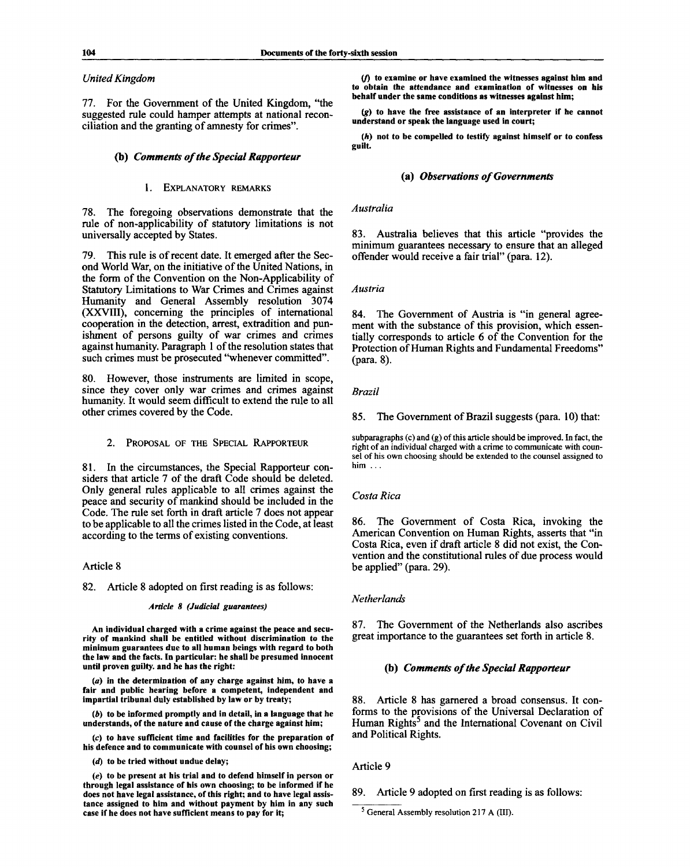# *United Kingdom*

77. For the Government of the United Kingdom, "the suggested rule could hamper attempts at national reconciliation and the granting of amnesty for crimes".

# **(b)** *Comments of the Special Rapporteur*

## 1. EXPLANATORY REMARKS

78. The foregoing observations demonstrate that the rule of non-applicability of statutory limitations is not universally accepted by States.

79. This rule is of recent date. It emerged after the Second World War, on the initiative of the United Nations, in the form of the Convention on the Non-Applicability of Statutory Limitations to War Crimes and Crimes against Humanity and General Assembly resolution 3074 (XXVIII), concerning the principles of international cooperation in the detection, arrest, extradition and punishment of persons guilty of war crimes and crimes against humanity. Paragraph 1 of the resolution states that such crimes must be prosecuted "whenever committed".

80. However, those instruments are limited in scope, since they cover only war crimes and crimes against humanity. It would seem difficult to extend the rule to all other crimes covered by the Code.

2. PROPOSAL OF THE SPECIAL RAPPORTEUR

81. In the circumstances, the Special Rapporteur considers that article 7 of the draft Code should be deleted. Only general rules applicable to all crimes against the peace and security of mankind should be included in the Code. The rule set forth in draft article 7 does not appear to be applicable to all the crimes listed in the Code, at least according to the terms of existing conventions.

# Article 8

82. Article 8 adopted on first reading is as follows:

#### *Article 8 (Judicial guarantees)*

**An individual charged with a crime against the peace and security of mankind shall be entitled without discrimination to the minimum guarantees due to all human beings with regard to both the law and the facts. In particular: he shall be presumed innocent until proven guilty, and he has the right:**

*(a)* **in the determination of any charge against him, to have a fair and public hearing before a competent, independent and impartial tribunal duly established by law or by treaty;**

*(b)* **to be informed promptly and in detail, in a language that he understands, of the nature and cause of the charge against him;**

*(c)* **to have sufficient time and facilities for the preparation of his defence and to communicate with counsel of his own choosing;**

*(d)* **to be tried without undue delay;**

*(e)* **to be present at his trial and to defend himself in person or through legal assistance of his own choosing; to be informed if he does not have legal assistance, of this right; and to have legal assistance assigned to him and without payment by him in any such case if he does not have sufficient means to pay for it;**

**(/) to examine or have examined the witnesses against him and** *to* **obtain the attendance and examination of witnesses on his behalf under the same conditions as witnesses against him;**

*(g)* **to have the free assistance of an interpreter if he cannot understand or speak the language used in court;**

*(h)* **not to be compelled to testify against himself or to confess guilt.**

# **(a)** *Observations of Governments*

*Australia*

83. Australia believes that this article "provides the minimum guarantees necessary to ensure that an alleged offender would receive a fair trial" (para. 12).

# *Austria*

84. The Government of Austria is "in general agreement with the substance of this provision, which essentially corresponds to article 6 of the Convention for the Protection of Human Rights and Fundamental Freedoms" (para. 8).

# *Brazil*

85. The Government of Brazil suggests (para. 10) that:

**subparagraphs (c) and (g) of this article should be improved. In fact, the right of an individual charged with a crime to communicate with counsel of his own choosing should be extended to the counsel assigned to him .. .**

# *Costa Rica*

86. The Government of Costa Rica, invoking the American Convention on Human Rights, asserts that "in Costa Rica, even if draft article 8 did not exist, the Convention and the constitutional rules of due process would be applied" (para. 29).

# *Netherlands*

87. The Government of the Netherlands also ascribes great importance to the guarantees set forth in article 8.

# **(b)** *Comments of the Special Rapporteur*

88. Article 8 has garnered a broad consensus. It conforms to the provisions of the Universal Declaration of Human Rights<sup>5</sup> and the International Covenant on Civil and Political Rights.

# Article 9

89. Article 9 adopted on first reading is as follows:

<sup>&</sup>lt;sup>5</sup> General Assembly resolution 217 A (III).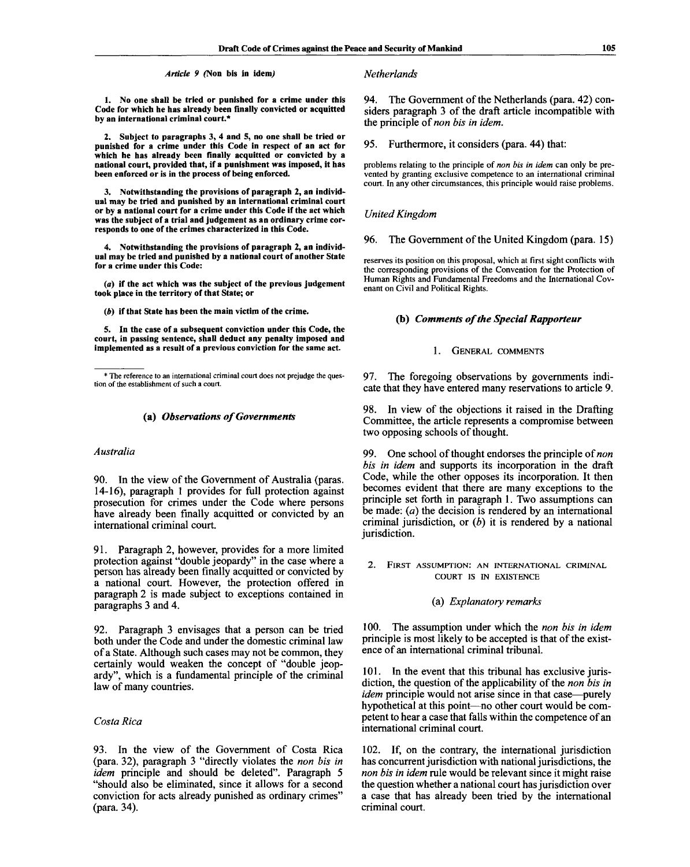#### *Article 9* **(Non bis in idem,)** *Netherlands*

**1. No one shall be tried or punished for a crime under this Code for which he has already been finally convicted or acquitted by an international criminal court.\***

**2. Subject to paragraphs 3, 4 and 5, no one shall be tried or punished for a crime under this Code in respect of an act for which he has already been finally acquitted or convicted by a national court, provided that, if a punishment was imposed, it has been enforced or is in the process of being enforced.**

**3. Notwithstanding the provisions of paragraph 2, an individual may be tried and punished by an international criminal court or by a national court for a crime under this Code if the act which was the subject of a trial and judgement as an ordinary crime corresponds to one of the crimes characterized in this Code.**

**4. Notwithstanding the provisions of paragraph 2, an individual may be tried and punished by a national court of another State for a crime under this Code:**

**(a) if the act which was the subject of the previous judgement took place in the territory of that State; or**

*(fi)* **if that State has been the main victim of the crime.**

**5. In the case of a subsequent conviction under this Code, the court, in passing sentence, shall deduct any penalty imposed and implemented as a result of a previous conviction for the same act.**

# **(a)** *Observations of Governments*

#### *Australia*

90. In the view of the Government of Australia (paras. 14-16), paragraph 1 provides for full protection against prosecution for crimes under the Code where persons have already been finally acquitted or convicted by an international criminal court.

91. Paragraph 2, however, provides for a more limited protection against "double jeopardy" in the case where a person has already been finally acquitted or convicted by a national court. However, the protection offered in paragraph 2 is made subject to exceptions contained in paragraphs 3 and 4.

92. Paragraph 3 envisages that a person can be tried both under the Code and under the domestic criminal law of a State. Although such cases may not be common, they certainly would weaken the concept of "double jeopardy", which is a fundamental principle of the criminal law of many countries.

# *Costa Rica*

93. In the view of the Government of Costa Rica (para. 32), paragraph 3 "directly violates the *non bis in idem* principle and should be deleted". Paragraph 5 "should also be eliminated, since it allows for a second conviction for acts already punished as ordinary crimes" (para. 34).

94. The Government of the Netherlands (para. 42) considers paragraph 3 of the draft article incompatible with the principle of *non bis in idem.*

95. Furthermore, it considers (para. 44) that:

problems relating to the principle of *non bis in idem* can only be prevented by granting exclusive competence to an international criminal court. In any other circumstances, this principle would raise problems.

# *United Kingdom*

# 96. The Government of the United Kingdom (para. 15)

reserves its position on this proposal, which at first sight conflicts with the corresponding provisions of the Convention for the Protection of Human Rights and Fundamental Freedoms and the International Covenant on Civil and Political Rights.

# **(b)** *Comments of the Special Rapporteur*

# 1. GENERAL COMMENTS

97. The foregoing observations by governments indicate that they have entered many reservations to article 9.

98. In view of the objections it raised in the Drafting Committee, the article represents a compromise between two opposing schools of thought.

99. One school of thought endorses the principle of *non bis in idem* and supports its incorporation in the draft Code, while the other opposes its incorporation. It then becomes evident that there are many exceptions to the principle set forth in paragraph 1. Two assumptions can be made: *(a)* the decision is rendered by an international criminal jurisdiction, or *(b)* it is rendered by a national jurisdiction.

2. FIRST ASSUMPTION: AN INTERNATIONAL CRIMINAL COURT IS IN EXISTENCE

#### (a) *Explanatory remarks*

100. The assumption under which the *non bis in idem* principle is most likely to be accepted is that of the existence of an international criminal tribunal.

101. In the event that this tribunal has exclusive jurisdiction, the question of the applicability of the *non bis in idem* principle would not arise since in that case—purely hypothetical at this point—no other court would be competent to hear a case that falls within the competence of an international criminal court.

102. If, on the contrary, the international jurisdiction has concurrent jurisdiction with national jurisdictions, the *non bis in idem* rule would be relevant since it might raise the question whether a national court has jurisdiction over a case that has already been tried by the international criminal court.

<sup>\*</sup> The reference to an international criminal court does not prejudge the question of the establishment of such a court.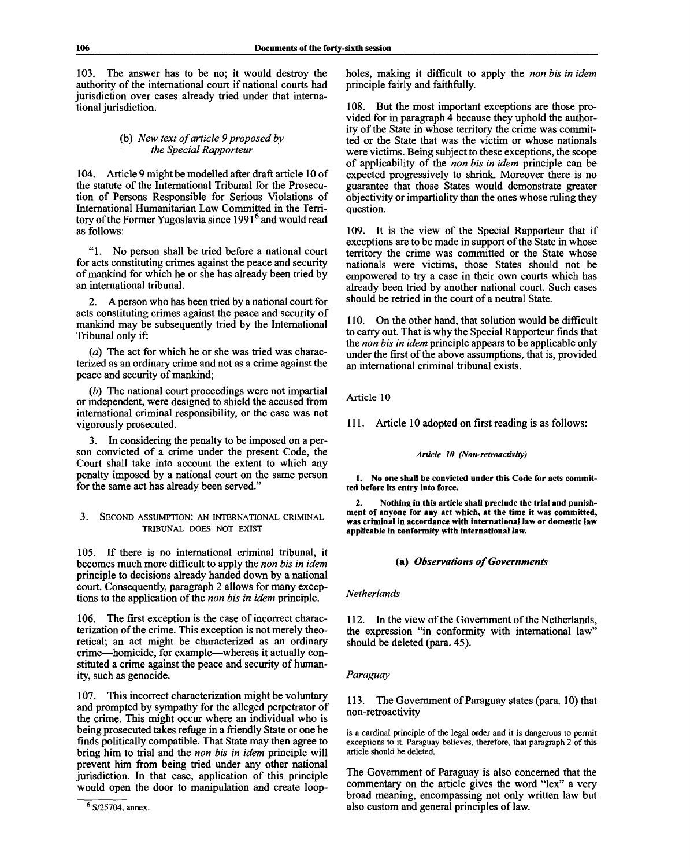103. The answer has to be no; it would destroy the authority of the international court if national courts had jurisdiction over cases already tried under that international jurisdiction.

# (b) *New text of article 9 proposed by the Special Rapporteur*

104. Article 9 might be modelled after draft article 10 of the statute of the International Tribunal for the Prosecution of Persons Responsible for Serious Violations of International Humanitarian Law Committed in the Territory of the Former Yugoslavia since 1991<sup>6</sup> and would read as follows:

"1. No person shall be tried before a national court for acts constituting crimes against the peace and security of mankind for which he or she has already been tried by an international tribunal.

2. A person who has been tried by a national court for acts constituting crimes against the peace and security of mankind may be subsequently tried by the International Tribunal only if:

*(a)* The act for which he or she was tried was characterized as an ordinary crime and not as a crime against the peace and security of mankind;

*(b)* The national court proceedings were not impartial or independent, were designed to shield the accused from international criminal responsibility, or the case was not vigorously prosecuted.

3. In considering the penalty to be imposed on a person convicted of a crime under the present Code, the Court shall take into account the extent to which any penalty imposed by a national court on the same person for the same act has already been served."

# 3. SECOND ASSUMPTION: AN INTERNATIONAL CRIMINAL TRIBUNAL DOES NOT EXIST

105. If there is no international criminal tribunal, it becomes much more difficult to apply the *non bis in idem* principle to decisions already handed down by a national court. Consequently, paragraph 2 allows for many exceptions to the application of the *non bis in idem* principle.

106. The first exception is the case of incorrect characterization of the crime. This exception is not merely theoretical; an act might be characterized as an ordinary crime—homicide, for example—whereas it actually constituted a crime against the peace and security of humanity, such as genocide.

107. This incorrect characterization might be voluntary and prompted by sympathy for the alleged perpetrator of the crime. This might occur where an individual who is being prosecuted takes refuge in a friendly State or one he finds politically compatible. That State may then agree to bring him to trial and the *non bis in idem* principle will prevent him from being tried under any other national jurisdiction. In that case, application of this principle would open the door to manipulation and create loopholes, making it difficult to apply the *non bis in idem* principle fairly and faithfully.

108. But the most important exceptions are those provided for in paragraph 4 because they uphold the authority of the State in whose territory the crime was committed or the State that was the victim or whose nationals were victims. Being subject to these exceptions, the scope of applicability of the *non bis in idem* principle can be expected progressively to shrink. Moreover there is no guarantee that those States would demonstrate greater objectivity or impartiality than the ones whose ruling they question.

109. It is the view of the Special Rapporteur that if exceptions are to be made in support of the State in whose territory the crime was committed or the State whose nationals were victims, those States should not be empowered to try a case in their own courts which has already been tried by another national court. Such cases should be retried in the court of a neutral State.

110. On the other hand, that solution would be difficult to carry out. That is why the Special Rapporteur finds that the *non bis in idem* principle appears to be applicable only under the first of the above assumptions, that is, provided an international criminal tribunal exists.

Article 10

111. Article 10 adopted on first reading is as follows:

# *Article 10 (Non-retroactivity)*

**1. No one shall be convicted under this Code for acts committed before its entry into force.**

**2. Nothing in this article shall preclude the trial and punishment of anyone for any act which, at the time it was committed, was criminal in accordance with international law or domestic law applicable in conformity with international law.**

# (a) *Observations of Governments*

# *Netherlands*

112. In the view of the Government of the Netherlands, the expression "in conformity with international law" should be deleted (para. 45).

# *Paraguay*

113. The Government of Paraguay states (para. 10) that non-retroactivity

is a cardinal principle of the legal order and it is dangerous to permit exceptions to it. Paraguay believes, therefore, that paragraph 2 of this article should be deleted.

The Government of Paraguay is also concerned that the commentary on the article gives the word "lex" a very broad meaning, encompassing not only written law but also custom and general principles of law.

<sup>&</sup>lt;sup>6</sup> S/25704, annex.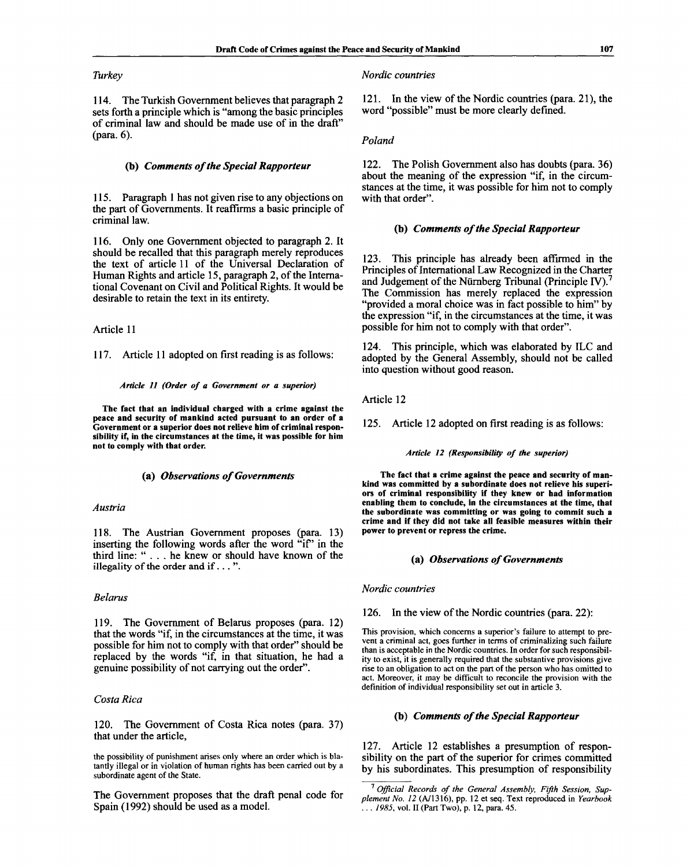# *Turkey*

114. The Turkish Government believes that paragraph 2 sets forth a principle which is "among the basic principles of criminal law and should be made use of in the draft" (para. 6).

## **(b)** *Comments of the Special Rapporteur*

115. Paragraph 1 has not given rise to any objections on the part of Governments. It reaffirms a basic principle of criminal law.

116. Only one Government objected to paragraph 2. It should be recalled that this paragraph merely reproduces the text of article 11 of the Universal Declaration of Human Rights and article 15, paragraph 2, of the International Covenant on Civil and Political Rights. It would be desirable to retain the text in its entirety.

Article 11

117. Article 11 adopted on first reading is as follows:

#### *Article 11 (Order of a Government or a superior)*

**The fact that an individual charged with a crime against the peace and security of mankind acted pursuant to an order of a Government or a superior does not relieve him of criminal responsibility if, in the circumstances at the time, it was possible for him not to comply with that order.**

#### **(a)** *Observations of Governments*

#### *Austria*

118. The Austrian Government proposes (para. 13) inserting the following words after the word "if" in the third line: ".. . he knew or should have known of the **illegality of the order and if. . . ".**

# *Belarus*

119. The Government of Belarus proposes (para. 12) that the words "if, in the circumstances at the time, it was possible for him not to comply with that order" should be replaced by the words "if, in that situation, he had a genuine possibility of not carrying out the order".

# *Costa Rica*

120. The Government of Costa Rica notes (para. 37) that under the article,

the possibility of punishment arises only where an order which is blatantly illegal or in violation of human rights has been carried out by a subordinate agent of the State.

The Government proposes that the draft penal code for Spain (1992) should be used as a model.

#### *Nordic countries*

121. In the view of the Nordic countries (para. 21), the word "possible" must be more clearly defined.

# *Poland*

122. The Polish Government also has doubts (para. 36) about the meaning of the expression "if, in the circumstances at the time, it was possible for him not to comply with that order".

## **(b)** *Comments of the Special Rapporteur*

123. This principle has already been affirmed in the Principles of International Law Recognized in the Charter and Judgement of the Nürnberg Tribunal (Principle IV).<sup>7</sup> The Commission has merely replaced the expression "provided a moral choice was in fact possible to him" by the expression "if, in the circumstances at the time, it was possible for him not to comply with that order".

124. This principle, which was elaborated by ILC and adopted by the General Assembly, should not be called into question without good reason.

Article 12

125. Article 12 adopted on first reading is as follows:

#### *Article 12 (Responsibility of the superior)*

**The fact that a crime against the peace and security of mankind was committed by a subordinate does not relieve his superiors of criminal responsibility if they knew or had information enabling them to conclude, in the circumstances at the time, that the subordinate was committing or was going to commit such a crime and if they did not take all feasible measures within their power to prevent or repress the crime.**

#### **(a)** *Observations of Governments*

*Nordic countries*

126. In the view of the Nordic countries (para. 22):

This provision, which concerns a superior's failure to attempt to prevent a criminal act, goes further in terms of criminalizing such failure than is acceptable in the Nordic countries. In order for such responsibility to exist, it is generally required that the substantive provisions give rise to an obligation to act on the part of the person who has omitted to act. Moreover, it may be difficult to reconcile the provision with the definition of individual responsibility set out in article 3.

# **(b)** *Comments of the Special Rapporteur*

127. Article 12 establishes a presumption of responsibility on the part of the superior for crimes committed by his subordinates. This presumption of responsibility

<sup>7</sup>  *Official Records of the General Assembly, Fifth Session, Supplement No. 12* (A/1316), pp. 12 et seq. Text reproduced in *Yearbook . . . 1985,* vol. II (Part Two), p. 12, para. 45.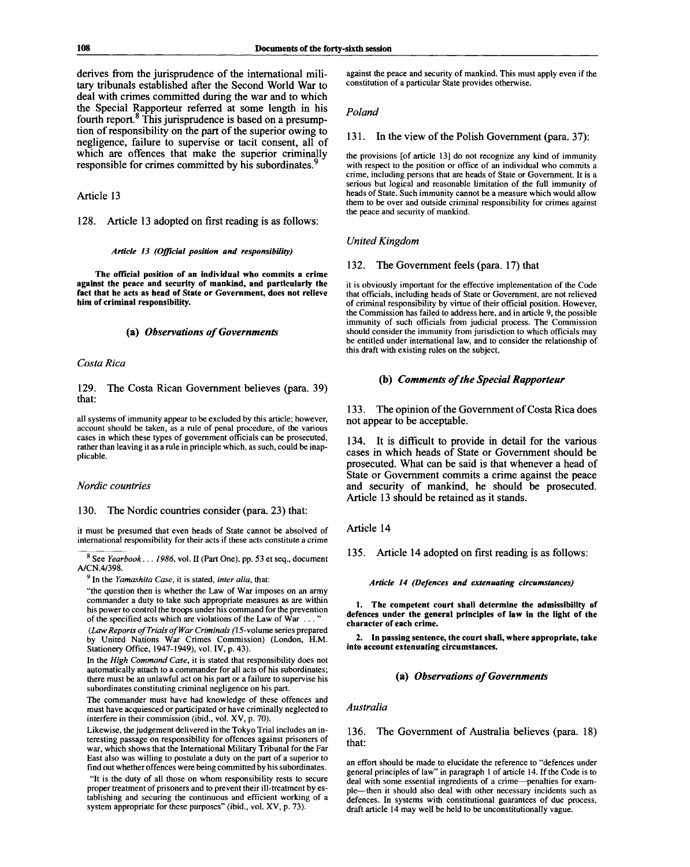derives from the jurisprudence of the international military tribunals established after the Second World War to deal with crimes committed during the war and to which the Special Rapporteur referred at some length in his fourth report.<sup>8</sup> This jurisprudence is based on a presumption of responsibility on the part of the superior owing to negligence, failure to supervise or tacit consent, all of which are offences that make the superior criminally responsible for crimes committed by his subordinates.<sup>9</sup>

# Article 13

128. Article 13 adopted on first reading is as follows:

#### *Article 13 (Official position and responsibility)*

**The official position of an individual who commits a crime against the peace and security of mankind, and particularly the fact that he acts as head of State or Government, does not relieve him of criminal responsibility.**

#### **(a)** *Observations of Governments*

*Costa Rica*

129. that: The Costa Rican Government believes (para. 39)

all systems of immunity appear to be excluded by this article; however, account should be taken, as a rule of penal procedure, of the various cases in which these types of government officials can be prosecuted, rather than leaving it as a rule in principle which, as such, could be inapplicable.

#### *Nordic countries*

130. The Nordic countries consider (para. 23) that:

it must be presumed that even heads of State cannot be absolved of international responsibility for their acts if these acts constitute a crime

8 See *Yearbook... 1986,* vol. II (Part One), pp. 53 et seq., document A/CN.4/398.

9  **In** the *Yamashita Case,* it is stated, *inter alia,* that:

"the question then is whether the Law of War imposes on an army commander a duty to take such appropriate measures as are within his power to control the troops under his command for the prevention of the specified acts which are violations of the Law of War  $\dots$ 

(Law Reports of Trials of War Criminals (15-volume series prepared by United Nations War Crimes Commission) (London, H.M. Stationery Office, 1947-1949), vol. IV, p. 43).

In the *High Command Case,* it is stated that responsibility does not automatically attach to a commander for all acts of his subordinates; there must be an unlawful act on his part or a failure to supervise his subordinates constituting criminal negligence on his part.

The commander must have had knowledge of these offences and must have acquiesced or participated or have criminally neglected to interfere in their commission (ibid., vol. XV, p. 70).

Likewise, the judgement delivered in the Tokyo Trial includes an interesting passage on responsibility for offences against prisoners of war, which shows that the International Military Tribunal for the Far East also was willing to postulate a duty on the part of a superior to find out whether offences were being committed by his subordinates.

"It is the duty of all those on whom responsibility rests to secure proper treatment of prisoners and to prevent their ill-treatment by establishing and securing the continuous and efficient working of a system appropriate for these purposes" (ibid., vol. XV, p. 73).

against the peace and security of mankind. This must apply even if the constitution of a particular State provides otherwise.

#### *Poland*

#### 131. In the view of the Polish Government (para. 37):

the provisions [of article 13] do not recognize any kind of immunity with respect to the position or office of an individual who commits a crime, including persons that are heads of State or Government. It is a serious but logical and reasonable limitation of the full immunity of heads of State. Such immunity cannot be a measure which would allow them to be over and outside criminal responsibility for crimes against the peace and security of mankind.

# *United Kingdom*

# 132. The Government feels (para. 17) that

it is obviously important for the effective implementation of the Code that officials, including heads of State or Government, are not relieved of criminal responsibility by virtue of their official position. However, the Commission has failed to address here, and in article 9, the possible immunity of such officials from judicial process. The Commission should consider the immunity from jurisdiction to which officials may be entitled under international law, and to consider the relationship of this draft with existing rules on the subject.

#### **(b)** *Comments of the Special Rapporteur*

133. The opinion of the Government of Costa Rica does not appear to be acceptable.

134. It is difficult to provide in detail for the various cases in which heads of State or Government should be prosecuted. What can be said is that whenever a head of State or Government commits a crime against the peace and security of mankind, he should be prosecuted. Article 13 should be retained as it stands.

# Article 14

135. Article 14 adopted on first reading is as follows:

*Article 14 (Defences and extenuating circumstances)*

**1. The competent court shall determine the admissibility of defences under the general principles of law in the light of the character of each crime.**

**2. In passing sentence, the court shall, where appropriate, take into account extenuating circumstances.**

# (a) *Observations of Governments*

#### *Australia*

136. that: The Government of Australia believes (para. 18)

an effort should be made to elucidate the reference to "defences under general principles of law" in paragraph 1 of article 14. If the Code is to deal with some essential ingredients of a crime—penalties for example—then it should also deal with other necessary incidents such as defences. In systems with constitutional guarantees of due process, draft article 14 may well be held to be unconstitutionally vague.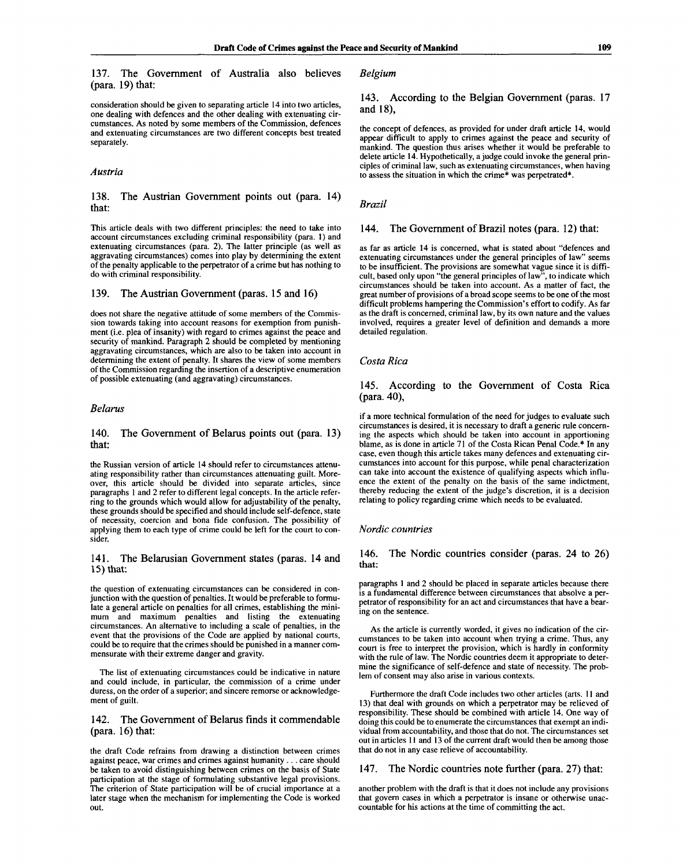137. The Government of Australia also believes (para. 19) that:

consideration should be given to separating article 14 into two articles, one dealing with defences and the other dealing with extenuating circumstances. As noted by some members of the Commission, defences and extenuating circumstances are two different concepts best treated separately.

#### *Austria*

#### 138. that: The Austrian Government points out (para. 14)

This article deals with two different principles: the need to take into account circumstances excluding criminal responsibility (para. 1) and extenuating circumstances (para. 2). The latter principle (as well as aggravating circumstances) comes into play by determining the extent of the penalty applicable to the perpetrator of a crime but has nothing to do with criminal responsibility.

# 139. The Austrian Government (paras. 15 and 16)

does not share the negative attitude of some members of the Commission towards taking into account reasons for exemption from punishment (i.e. plea of insanity) with regard to crimes against the peace and security of mankind. Paragraph 2 should be completed by mentioning aggravating circumstances, which are also to be taken into account in determining the extent of penalty. It shares the view of some members of the Commission regarding the insertion of a descriptive enumeration of possible extenuating (and aggravating) circumstances.

# *Belarus*

#### 140. that: The Government of Belarus points out (para. 13)

the Russian version of article 14 should refer to circumstances attenuating responsibility rather than circumstances attenuating guilt. Moreover, this article should be divided into separate articles, since paragraphs 1 and 2 refer to different legal concepts. In the article referring to the grounds which would allow for adjustability of the penalty, these grounds should be specified and should include self-defence, state of necessity, coercion and bona fide confusion. The possibility of applying them to each type of crime could be left for the court to consider.

#### 141. The Belarusian Government states (paras. 14 and 15) that:

the question of extenuating circumstances can be considered in conjunction with the question of penalties. It would be preferable to formulate a general article on penalties for all crimes, establishing the minimum and maximum penalties and listing the extenuating circumstances. An alternative to including a scale of penalties, in the event that the provisions of the Code are applied by national courts, could be to require that the crimes should be punished in a manner commensurate with their extreme danger and gravity.

The list of extenuating circumstances could be indicative in nature and could include, in particular, the commission of a crime under duress, on the order of a superior; and sincere remorse or acknowledgement of guilt.

# 142. The Government of Belarus finds it commendable (para.  $16$ ) that:

the draft Code refrains from drawing a distinction between crimes against peace, war crimes and crimes against humanity .. . care should be taken to avoid distinguishing between crimes on the basis of State participation at the stage of formulating substantive legal provisions. The criterion of State participation will be of crucial importance at a later stage when the mechanism for implementing the Code is worked out.

# *Belgium*

# 143. According to the Belgian Government (paras. 17 and 18),

the concept of defences, as provided for under draft article 14, would appear difficult to apply to crimes against the peace and security of mankind. The question thus arises whether it would be preferable to delete article 14. Hypothetically, a judge could invoke the general principles of criminal law, such as extenuating circumstances, when having to assess the situation in which the crime\* was perpetrated\*.

#### *Brazil*

# 144. The Government of Brazil notes (para. 12) that:

as far as article 14 is concerned, what is stated about "defences and extenuating circumstances under the general principles of law" seems to be insufficient. The provisions are somewhat vague since it is difficult, based only upon "the general principles of law", to indicate which circumstances should be taken into account. As a matter of fact, the great number of provisions of a broad scope seems to be one of the most difficult problems hampering the Commission's effort to codify. As far as the draft is concerned, criminal law, by its own nature and the values involved, requires a greater level of definition and demands a more detailed regulation.

#### *Costa Rica*

# 145. According to the Government of Costa Rica (para. 40),

if a more technical formulation of the need for judges to evaluate such circumstances is desired, it is necessary to draft a generic rule concerning the aspects which should be taken into account in apportioning blame, as is done in article 71 of the Costa Rican Penal Code.\* In any case, even though this article takes many defences and extenuating circumstances into account for this purpose, while penal characterization can take into account the existence of qualifying aspects which influence the extent of the penalty on the basis of the same indictment, thereby reducing the extent of the judge's discretion, it is a decision relating to policy regarding crime which needs to be evaluated.

#### *Nordic countries*

#### 146. **that:** The Nordic countries consider (paras. 24 to 26)

paragraphs 1 and 2 should be placed in separate articles because there is a fundamental difference between circumstances that absolve a perpetrator of responsibility for an act and circumstances that have a bearing on the sentence.

As the article is currently worded, it gives no indication of the circumstances to be taken into account when trying a crime. Thus, any court is free to interpret the provision, which is hardly in conformity with the rule of law. The Nordic countries deem it appropriate to determine the significance of self-defence and state of necessity. The problem of consent may also arise in various contexts.

Furthermore the draft Code includes two other articles (arts. 11 and 13) that deal with grounds on which a perpetrator may be relieved of responsibility. These should be combined with article 14. One way of doing this could be to enumerate the circumstances that exempt an individual from accountability, and those that do not. The circumstances set out in articles 11 and 13 of the current draft would then be among those that do not in any case relieve of accountability.

# 147. The Nordic countries note further (para. 27) that:

another problem with the draft is that it does not include any provisions that govern cases in which a perpetrator is insane or otherwise unaccountable for his actions at the time of committing the act.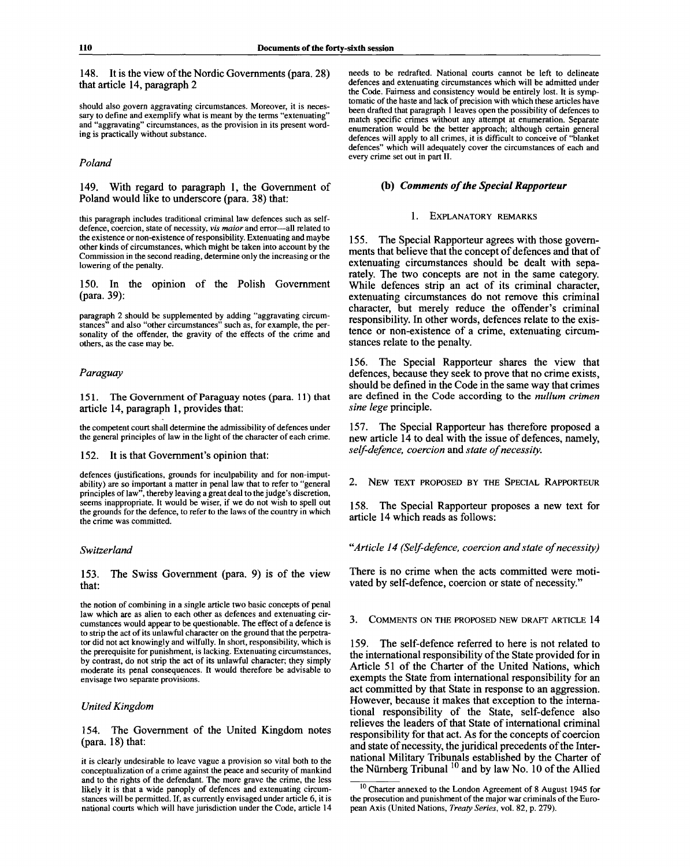148. It is the view of the Nordic Governments (para. 28) that article 14, paragraph 2

should also govern aggravating circumstances. Moreover, it is necessary to define and exemplify what is meant by the terms "extenuating" and "aggravating" circumstances, as the provision in its present wording is practically without substance.

# *Poland*

149. With regard to paragraph 1, the Government of Poland would like to underscore (para. 38) that:

this paragraph includes traditional criminal law defences such as selfdefence, coercion, state of necessity, *vis maior* and error—all related to the existence or non-existence of responsibility. Extenuating and maybe other kinds of circumstances, which might be taken into account by the Commission in the second reading, determine only the increasing or the lowering of the penalty.

150. In the opinion of the Polish Government (para. 39):

paragraph 2 should be supplemented by adding "aggravating circumstances" and also "other circumstances" such as, for example, the personality of the offender, the gravity of the effects of the crime and others, as the case may be.

## *Paraguay*

151. The Government of Paraguay notes (para. 11) that article 14, paragraph 1, provides that:

the competent court shall determine the admissibility of defences under the general principles of law in the light of the character of each crime.

#### 152. It is that Government's opinion that:

defences (justifications, grounds for inculpability and for non-imputability) are so important a matter in penal law that to refer to "general principles of law", thereby leaving a great deal to the judge's discretion, seems inappropriate. It would be wiser, if we do not wish to spell out the grounds for the defence, to refer to the laws of the country in which the crime was committed.

#### *Switzerland*

153. The Swiss Government (para. 9) is of the view that:

the notion of combining in a single article two basic concepts of penal law which are as alien to each other as defences and extenuating circumstances would appear to be questionable. The effect of a defence is to strip the act of its unlawful character on the ground that the perpetrator did not act knowingly and wilfully. In short, responsibility, which is the prerequisite for punishment, is lacking. Extenuating circumstances, by contrast, do not strip the act of its unlawful character; they simply moderate its penal consequences. It would therefore be advisable to envisage two separate provisions.

# *United Kingdom*

154. The Government of the United Kingdom notes (para. 18) that:

needs to be redrafted. National courts cannot be left to delineate defences and extenuating circumstances which will be admitted under the Code. Fairness and consistency would be entirely lost. It is symptomatic of the haste and lack of precision with which these articles have been drafted that paragraph 1 leaves open the possibility of defences to match specific crimes without any attempt at enumeration. Separate enumeration would be the better approach; although certain general defences will apply to all crimes, it is difficult to conceive of "blanket defences" which will adequately cover the circumstances of each and every crime set out in part II.

# **(b)** *Comments of the Special Rapporteur*

#### 1. EXPLANATORY REMARKS

155. The Special Rapporteur agrees with those governments that believe that the concept of defences and that of extenuating circumstances should be dealt with separately. The two concepts are not in the same category. While defences strip an act of its criminal character, extenuating circumstances do not remove this criminal character, but merely reduce the offender's criminal responsibility. In other words, defences relate to the existence or non-existence of a crime, extenuating circumstances relate to the penalty.

156. The Special Rapporteur shares the view that defences, because they seek to prove that no crime exists, should be defined in the Code in the same way that crimes are defined in the Code according to the *nullum crimen sine lege* principle.

157. The Special Rapporteur has therefore proposed a new article 14 to deal with the issue of defences, namely, *self-defence, coercion* and *state of necessity.*

2. NEW TEXT PROPOSED BY THE SPECIAL RAPPORTEUR

158. The Special Rapporteur proposes a new text for article 14 which reads as follows:

*"Article 14 (Self-defence, coercion and state of necessity)*

There is no crime when the acts committed were motivated by self-defence, coercion or state of necessity."

3. COMMENTS ON THE PROPOSED NEW DRAFT ARTICLE 14

159. The self-defence referred to here is not related to the international responsibility of the State provided for in Article 51 of the Charter of the United Nations, which exempts the State from international responsibility for an act committed by that State in response to an aggression. However, because it makes that exception to the international responsibility of the State, self-defence also relieves the leaders of that State of international criminal responsibility for that act. As for the concepts of coercion and state of necessity, the juridical precedents of the International Military Tribunals established by the Charter of the Nürnberg Tribunal  $10$  and by law No. 10 of the Allied

it is clearly undesirable to leave vague a provision so vital both to the conceptualization of a crime against the peace and security of mankind and to the rights of the defendant. The more grave the crime, the less likely it is that a wide panoply of defences and extenuating circumstances will be permitted. If, as currently envisaged under article 6, it is national courts which will have jurisdiction under the Code, article 14

 $10$  Charter annexed to the London Agreement of 8 August 1945 for the prosecution and punishment of the major war criminals of the European Axis (United Nations, *Treaty Series,* vol. 82, p. 279).